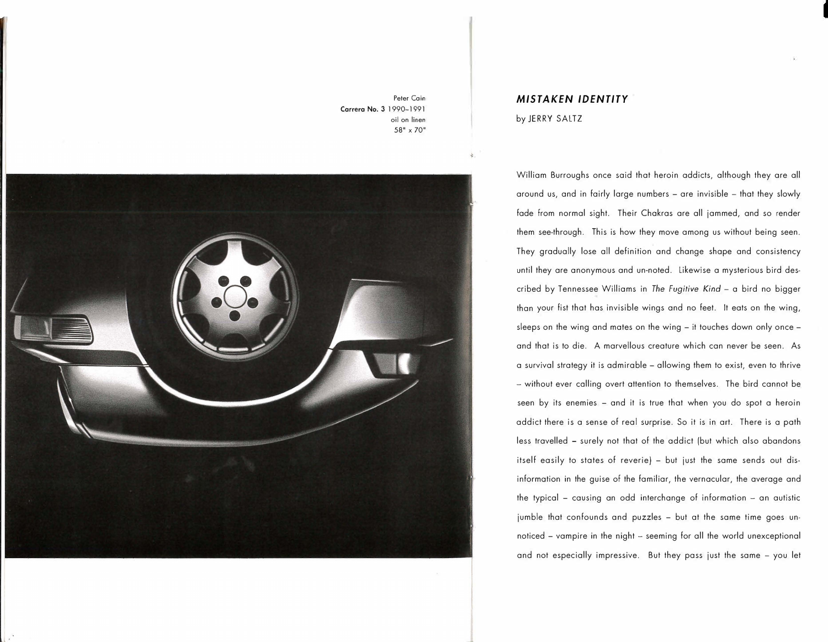Peter Coin **Correro No.** 3 1 990-1 991 oil on linen 58" x 70"



## *MISTAKEN IDENTITY*  by JERRY SALTZ

William Burroughs once said that heroin addicts, although they are all around us, and in fairly large numbers - are invisible - that they slowly fade from normal sight. Their Chakras are all jammed, and so render them see-through. This is how they move among us without being seen. They gradually lose all definition and change shape and consistency until they are anonymous and un-noted. Likewise a mysterious bird described by Tennessee Williams in *The Fugitive Kind* - a bird no bigger than your fist that has invisible wings and no feet. It eats on the wing, sleeps on the wing and mates on the wing - it touches down only once and that is to die. A marvellous creature which can never be seen. As a survival strategy it is admirable - allowing them to exist, even to thrive - without ever colling overt attention to themselves. The bird cannot be seen by its enemies - and it is true that when you do spot a heroin addict there is a sense of real surprise. So it is in art. There is a path less travelled - surely not that of the addict (but which also abandons itself easily to states of reverie) - but just the same sends out disinformation in the guise of the familiar, the vernacular, the average and the typical – causing an odd interchange of information – an autistic jumble that confounds and puzzles - but at the same time goes unnoticed - vampire in the night - seeming for all the world unexceptional and not especially impressive. But they pass just the same - you let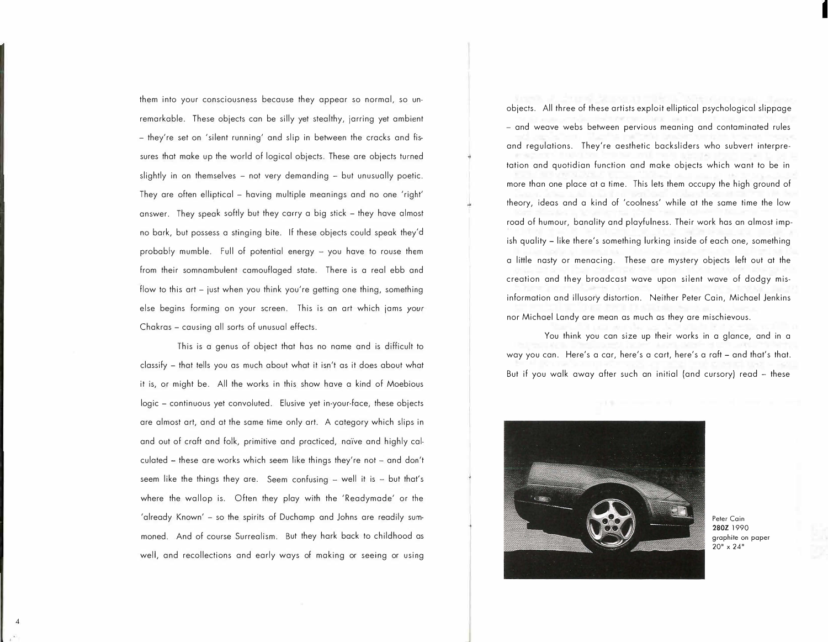them into your consciousness because they appear so normal, so unremarkable. These objects can be silly yet stealthy, jarring yet ambient - they're set on 'silent running' and slip in between the cracks and fissures that make up the world of logical objects. These are objects turned slightly in on themselves - not very demanding - but unusually poetic. They are often elliptical - having multiple meanings and no one 'right' answer. They speak softly but they carry a big stick - they have almost no bark, but possess a stinging bite. If these objects could speak they'd probably mumble. Full of potential energy - you have to rouse them from their somnambulent camouflaged state. There is a real ebb and flow to this art - just when you think you're getting one thing, something else begins forming on your screen. This is an art which jams your Chakras - causing all sorts of unusual effects.

This is a genus of object that has no name and is difficult to classify - that tells you as much about what it isn't as it does about what it is, or might be. All the works in this show have a kind of Moebious logic - continuous yet convoluted. Elusive yet in-your-face, these objects are almost art, and at the same time only art. A category which slips in and out of craft and folk, primitive and practiced, naive and highly calculated - these are works which seem like things they're not - and don't seem like the things they are. Seem confusing  $-$  well it is  $-$  but that's where the wallop is. Often they play with the 'Readymade' or the 'already Known' - so the spirits of Duchamp and Johns are readily summoned. And of course Surrealism. But they hark back to childhood as well, and recollections and early ways of making or seeing or using

4

objects. All three of these artists exploit elliptical psychological slippage - and weave webs between pervious meaning and contaminated rules and regulations. They're aesthetic backsliders who subvert interpretation and quotidian function and make objects which want to be in more than one place at a time. This lets them occupy the high ground of theory, ideas and a kind of 'coolness' while at the same time the low road of humour, banality and playfulness. Their work has an almost impish quality - like there's something lurking inside of each one, something a little nasty or menacing. These are mystery objects left out at the creation and they broadcast wave upon silent wave of dodgy misinformation and illusory distortion. Neither Peter Cain, Michael Jenkins nor Michael Landy are mean as much as they are mischievous.

You think you can size up their works in a glance, and in a way you can. Here's a car, here's a cart, here's a raft - and that's that. But if you walk away after such an initial (and cursory) read - these



Peter Cain **280Z** 1990 graphite on paper 20" X 24"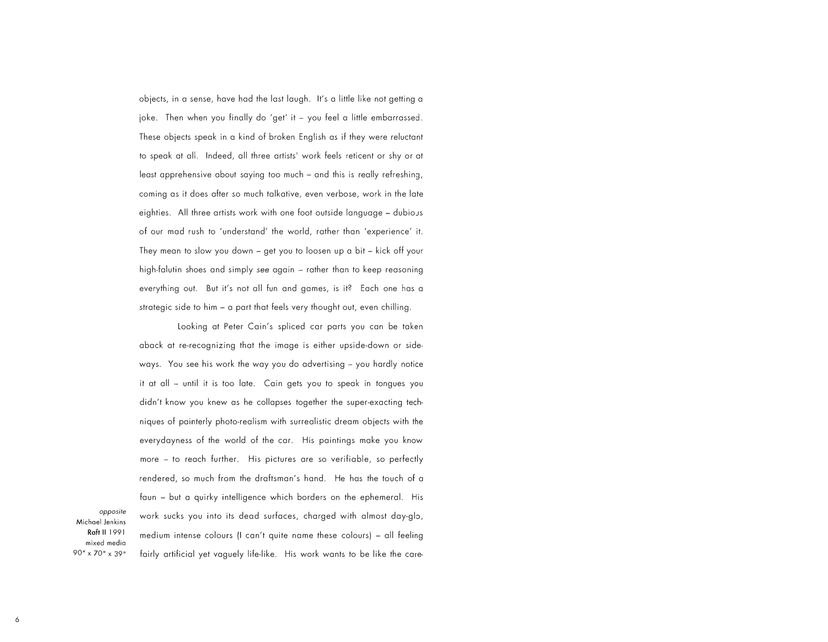objects, in a sense, have had the last laugh. It's a little like not getting a joke. Then when you finally do 'get' it - you feel a little embarrassed. These objects speak in a kind of broken English as if they were reluctant to speak at all. Indeed, all three artists' work feels reticent or shy or at least apprehensive about saying too much - and this is really refreshing, coming as it does after so much talkative, even verbose, work in the late eighties. All three artists work with one foot outside language - dubious of our mad rush to 'understand' the world, rather than 'experience' it. They mean to slow you down – get you to loosen up a bit – kick off your high-falutin shoes and simply see again - rather than to keep reasoning everything out. But it's not all fun and games, is it? Each one has a strategic side to him - a part that feels very thought out, even chilling.

Looking at Peter Cain's spliced car parts you can be taken aback at re-recognizing that the image is either upside-down or sideways. You see his work the way you do advertising - you hardly notice it at all - until it is too late. Cain gets you to speak in tongues you didn't know you knew as he collapses together the super-exacting techniques of painterly photo-realism with surrealistic dream objects with the everydayness of the world of the car. His paintings make you know more - to reach further. His pictures are so verifiable, so perfectly rendered, so much from the draftsman's hand. He has the touch of a faun - but a quirky intelligence which borders on the ephemeral. His work sucks you into its dead surfaces, charged with almost day-glo, medium intense colours (I can't quite name these colours) - all feeling fairly artificial yet vaguely life-like. His work wants to be like the care-

*opposite*  Michael Jenkins Raft II 1991 **mixed media**  90" x 70" x 39"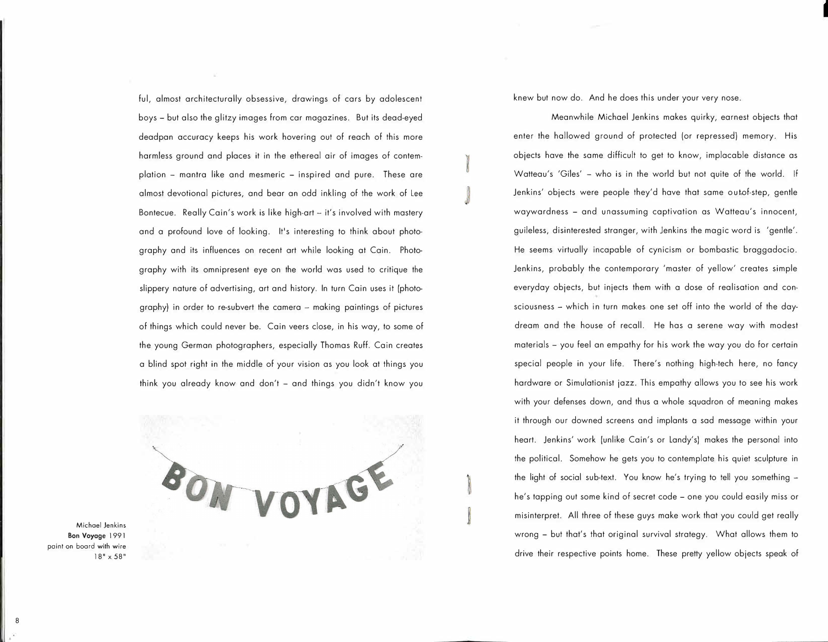ful, almost architecturally obsessive, drawings of cars by adolescent boys - but also the glitzy images from car magazines. But its dead-eyed deadpan accuracy keeps his work hovering out of reach of this more harmless ground and places it in the ethereal air of images of contemplation - mantra like and mesmeric - inspired and pure. These are almost devotional pictures, and bear an odd inkling of the work of Lee Bontecue. Really Cain's work is like high-art - it's involved with mastery and a profound love of looking. It's interesting to think about photography and its influences on recent art while looking at Cain. Photography with its omnipresent eye on the world was used to critique the slippery nature of advertising, art and history. In turn Cain uses it (photography) in order to re-subvert the camera - making paintings of pictures of things which could never be. Cain veers close, in his way, to some of the young German photographers, especially Thomas Ruff. Cain creates a blind spot right in the middle of your vision as you look at things you think you already know and don't - and things you didn't know you



Michael Jenkins **Bon Voyage** 1 991 point on board with wire 18" X 58"

knew but now do. And he does this under your very nose.

Meanwhile Michael Jenkins makes quirky, earnest objects that enter the hallowed ground of protected (or repressed) memory. His objects have the same difficult to get to know, implacable distance as Watteau's 'Giles' - who is in the world but not quite of the world. If Jenkins' objects were people they'd have that same outof-step, gentle waywardness - and unassuming captivation as Watteau's innocent, guileless, disinterested stranger, with Jenkins the magic word is 'gentle'. He seems virtually incapable of cynicism or bombastic braggadocio. Jenkins, probably the contemporary 'master of yellow' creates simple everyday objects, but injects them with a dose of realisation and consciousness - which in turn makes one set off into the world of the daydream and the house of recall. He has a serene way with modest materials - you feel an empathy for his work the way you do for certain special people in your life. There's nothing high-tech here, no fancy hardware or Simulationist jazz. This empathy allows you to see his work with your defenses down, and thus a whole squadron of meaning makes it through our downed screens and implants a sad message within your heart. Jenkins' work (unlike Cain's or Landy's) makes the personal into the political. Somehow he gets you to contemplate his quiet sculpture in the light of social sub-text. You know he's trying to tell you something he's tapping out some kind of secret code - one you could easily miss or misinterpret. All three of these guys make work that you could get really wrong - but that's that original survival strategy. What allows them to drive their respective points home. These pretty yellow objects speak of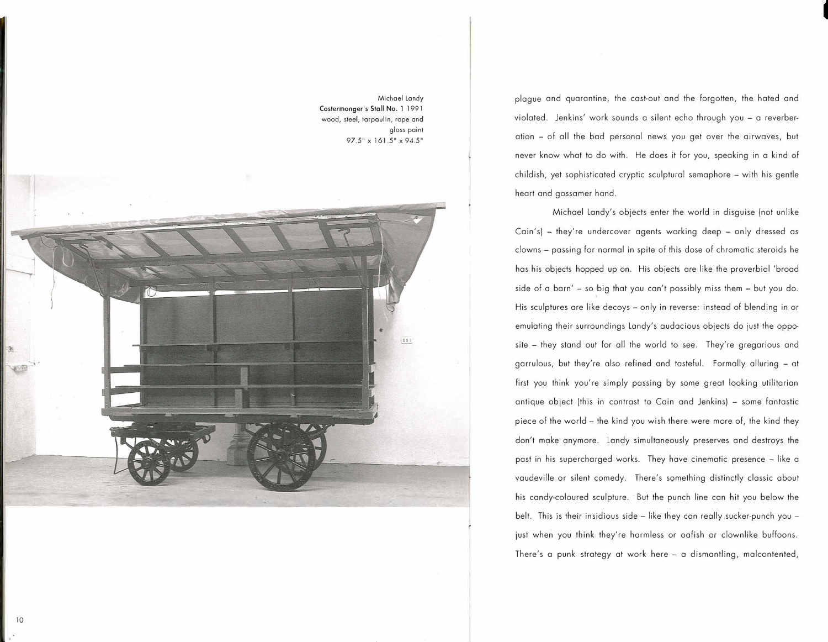

plague and quarantine, the cast-out and the forgotten, the hated and violated. Jenkins' work sounds a silent echo through you - a reverberation - of all the bad personal news you get over the airwaves, but never know what to do with. He does it for you, speaking in a kind of childish, yet sophisticated cryptic sculptural semaphore - with his gentle heart and gossamer hand.

Michael Landy's objects enter the world in disguise (not unlike Cain's) - they're undercover agents working deep - only dressed as clowns - passing for normal in spite of this dose of chromatic steroids he has his objects hopped up on. His objects are like the proverbial 'broad side of a barn' - so big that you can't possibly miss them - but you do. His sculptures are like decoys - only in reverse: instead of blending in or emulating their surroundings Landy's audacious objects do just the opposite - they stand out for all the world to see. They're gregarious and garrulous, but they're also refined and tasteful. Formally alluring - at first you think you're simply passing by some great looking utilitarian antique object (this in contrast to Cain and Jenkins) - some fantastic piece of the world - the kind you wish there were more of, the kind they don't make anymore. Landy simultaneously preserves and destroys the past in his supercharged works. They have cinematic presence - like a vaudeville or silent comedy. There's something distinctly classic about his candy-coloured sculpture. But the punch line can hit you below the belt. This is their insidious side - like they can really sucker-punch you just when you think they're harmless or oafish or clownlike buffoons. There's a punk strategy at work here - a dismantling, malcontented,